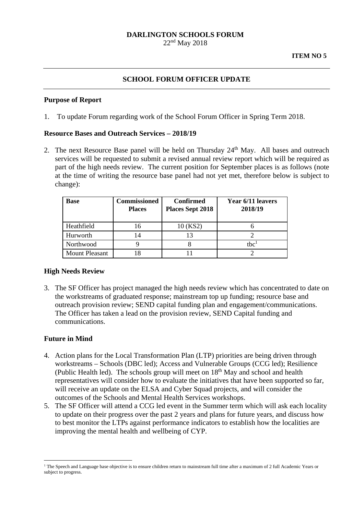#### **DARLINGTON SCHOOLS FORUM**  22nd May 2018

## **SCHOOL FORUM OFFICER UPDATE**

#### **Purpose of Report**

1. To update Forum regarding work of the School Forum Officer in Spring Term 2018.

### **Resource Bases and Outreach Services – 2018/19**

2. The next Resource Base panel will be held on Thursday 24<sup>th</sup> May. All bases and outreach services will be requested to submit a revised annual review report which will be required as part of the high needs review. The current position for September places is as follows (note at the time of writing the resource base panel had not yet met, therefore below is subject to change):

| <b>Base</b>           | <b>Commissioned</b><br><b>Places</b> | <b>Confirmed</b><br><b>Places Sept 2018</b> | Year 6/11 leavers<br>2018/19 |
|-----------------------|--------------------------------------|---------------------------------------------|------------------------------|
| Heathfield            | 16                                   | 10 (KS2)                                    |                              |
| Hurworth              | 14                                   | 13                                          |                              |
| Northwood             |                                      |                                             | thc <sup>1</sup>             |
| <b>Mount Pleasant</b> |                                      |                                             |                              |

### **High Needs Review**

3. The SF Officer has project managed the high needs review which has concentrated to date on the workstreams of graduated response; mainstream top up funding; resource base and outreach provision review; SEND capital funding plan and engagement/communications. The Officer has taken a lead on the provision review, SEND Capital funding and communications.

### **Future in Mind**

1

- 4. Action plans for the Local Transformation Plan (LTP) priorities are being driven through workstreams – Schools (DBC led); Access and Vulnerable Groups (CCG led); Resilience (Public Health led). The schools group will meet on 18<sup>th</sup> May and school and health representatives will consider how to evaluate the initiatives that have been supported so far, will receive an update on the ELSA and Cyber Squad projects, and will consider the outcomes of the Schools and Mental Health Services workshops.
- 5. The SF Officer will attend a CCG led event in the Summer term which will ask each locality to update on their progress over the past 2 years and plans for future years, and discuss how to best monitor the LTPs against performance indicators to establish how the localities are improving the mental health and wellbeing of CYP.

<sup>&</sup>lt;sup>1</sup> The Speech and Language base objective is to ensure children return to mainstream full time after a maximum of 2 full Academic Years or subject to progress.